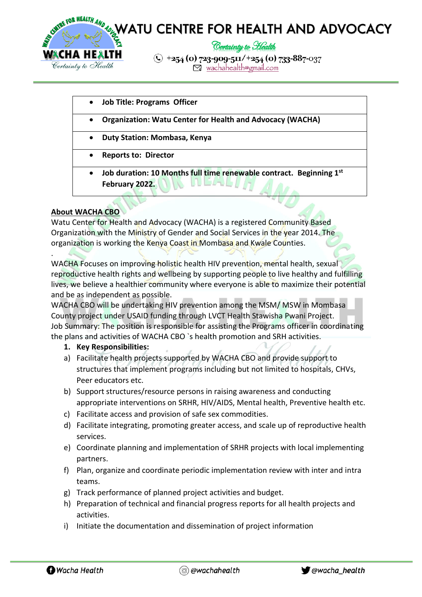

- **Job Title: Programs Officer**
- **Organization: Watu Center for Health and Advocacy (WACHA)**
- **Duty Station: Mombasa, Kenya**
- **Reports to: Director**
- **Job duration: 10 Months full time renewable contract. Beginning 1st February 2022.** the Light T. Lin

## **About WACHA CBO**

.

Watu Center for Health and Advocacy (WACHA) is a registered Community Based Organization with the Ministry of Gender and Social Services in the year 2014. The organization is working the Kenya Coast in Mombasa and Kwale Counties.

WACHA Focuses on improving holistic health HIV prevention, mental health, sexual reproductive health rights and wellbeing by supporting people to live healthy and fulfilling lives, we believe a healthier community where everyone is able to maximize their potential and be as independent as possible.

WACHA CBO will be undertaking HIV prevention among the MSM/ MSW in Mombasa County project under USAID funding through LVCT Health Stawisha Pwani Project. Job Summary: The position is responsible for assisting the Programs officer in coordinating the plans and activities of WACHA CBO `s health promotion and SRH activities.

- **1. Key Responsibilities:**
- a) Facilitate health projects supported by WACHA CBO and provide support to structures that implement programs including but not limited to hospitals, CHVs, Peer educators etc.
- b) Support structures/resource persons in raising awareness and conducting appropriate interventions on SRHR, HIV/AIDS, Mental health, Preventive health etc.
- c) Facilitate access and provision of safe sex commodities.
- d) Facilitate integrating, promoting greater access, and scale up of reproductive health services.
- e) Coordinate planning and implementation of SRHR projects with local implementing partners.
- f) Plan, organize and coordinate periodic implementation review with inter and intra teams.
- g) Track performance of planned project activities and budget.
- h) Preparation of technical and financial progress reports for all health projects and activities.
- i) Initiate the documentation and dissemination of project information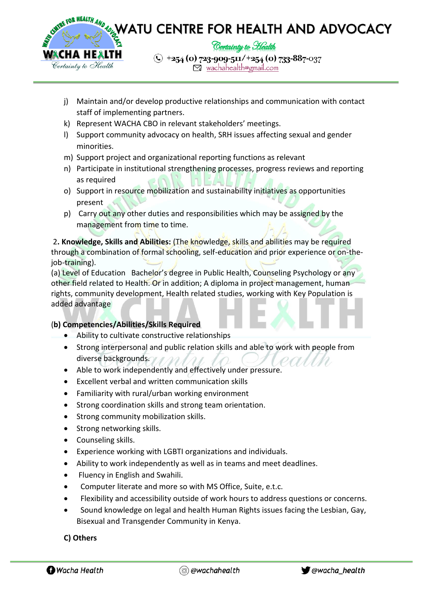

- j) Maintain and/or develop productive relationships and communication with contact staff of implementing partners.
- k) Represent WACHA CBO in relevant stakeholders' meetings.
- l) Support community advocacy on health, SRH issues affecting sexual and gender minorities.
- m) Support project and organizational reporting functions as relevant
- n) Participate in institutional strengthening processes, progress reviews and reporting as required
- o) Support in resource mobilization and sustainability initiatives as opportunities present
- p) Carry out any other duties and responsibilities which may be assigned by the management from time to time.

2**. Knowledge, Skills and Abilities:** (The knowledge, skills and abilities may be required through a combination of formal schooling, self-education and prior experience or on-thejob-training).

(a) Level of Education Bachelor's degree in Public Health, Counseling Psychology or any other field related to Health. Or in addition; A diploma in project management, human rights, community development, Health related studies, working with Key Population is added advantage

## (**b) Competencies/Abilities/Skills Required**

- Ability to cultivate constructive relationships
- Strong interpersonal and public relation skills and able to work with people from diverse backgrounds. 7 120 12
- Able to work independently and effectively under pressure.
- Excellent verbal and written communication skills
- Familiarity with rural/urban working environment
- Strong coordination skills and strong team orientation.
- Strong community mobilization skills.
- Strong networking skills.
- Counseling skills.
- Experience working with LGBTI organizations and individuals.
- Ability to work independently as well as in teams and meet deadlines.
- Fluency in English and Swahili.
- Computer literate and more so with MS Office, Suite, e.t.c.
- Flexibility and accessibility outside of work hours to address questions or concerns.
- Sound knowledge on legal and health Human Rights issues facing the Lesbian, Gay, Bisexual and Transgender Community in Kenya.

## **C) Others**